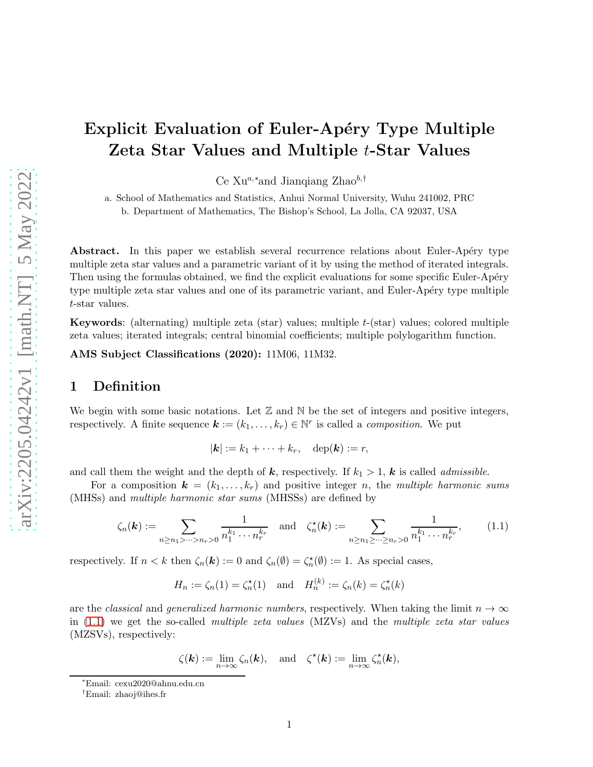# Explicit Evaluation of Euler-Apéry Type Multiple Zeta Star Values and Multiple t-Star Values

Ce Xu<sup>a,∗</sup>and Jianqiang Zhao<sup>b,†</sup>

a. School of Mathematics and Statistics, Anhui Normal University, Wuhu 241002, PRC b. Department of Mathematics, The Bishop's School, La Jolla, CA 92037, USA

Abstract. In this paper we establish several recurrence relations about Euler-Apéry type multiple zeta star values and a parametric variant of it by using the method of iterated integrals. Then using the formulas obtained, we find the explicit evaluations for some specific Euler-Apéry type multiple zeta star values and one of its parametric variant, and Euler-Apéry type multiple t-star values.

**Keywords:** (alternating) multiple zeta (star) values; multiple  $t$ -(star) values; colored multiple zeta values; iterated integrals; central binomial coefficients; multiple polylogarithm function.

AMS Subject Classifications (2020): 11M06, 11M32.

### 1 Definition

We begin with some basic notations. Let  $\mathbb Z$  and  $\mathbb N$  be the set of integers and positive integers, respectively. A finite sequence  $\mathbf{k} := (k_1, \ldots, k_r) \in \mathbb{N}^r$  is called a *composition*. We put

<span id="page-0-0"></span>
$$
|\mathbf{k}| := k_1 + \cdots + k_r, \quad \deg(\mathbf{k}) := r,
$$

and call them the weight and the depth of k, respectively. If  $k_1 > 1$ , k is called *admissible*.

For a composition  $\mathbf{k} = (k_1, \ldots, k_r)$  and positive integer n, the multiple harmonic sums (MHSs) and multiple harmonic star sums (MHSSs) are defined by

$$
\zeta_n(\mathbf{k}) := \sum_{n \ge n_1 > \dots > n_r > 0} \frac{1}{n_1^{k_1} \dots n_r^{k_r}} \quad \text{and} \quad \zeta_n^{\star}(\mathbf{k}) := \sum_{n \ge n_1 \ge \dots \ge n_r > 0} \frac{1}{n_1^{k_1} \dots n_r^{k_r}},\tag{1.1}
$$

respectively. If  $n < k$  then  $\zeta_n(\mathbf{k}) := 0$  and  $\zeta_n(\emptyset) = \zeta_n^{\star}(\emptyset) := 1$ . As special cases,

$$
H_n := \zeta_n(1) = \zeta_n^{\star}(1) \quad \text{and} \quad H_n^{(k)} := \zeta_n(k) = \zeta_n^{\star}(k)
$$

are the classical and generalized harmonic numbers, respectively. When taking the limit  $n \to \infty$ in [\(1.1\)](#page-0-0) we get the so-called multiple zeta values (MZVs) and the multiple zeta star values (MZSVs), respectively:

$$
\zeta(\mathbf{k}) := \lim_{n \to \infty} \zeta_n(\mathbf{k}), \text{ and } \zeta^{\star}(\mathbf{k}) := \lim_{n \to \infty} \zeta_n^{\star}(\mathbf{k}),
$$

<sup>∗</sup>Email: cexu2020@ahnu.edu.cn

<sup>†</sup>Email: zhaoj@ihes.fr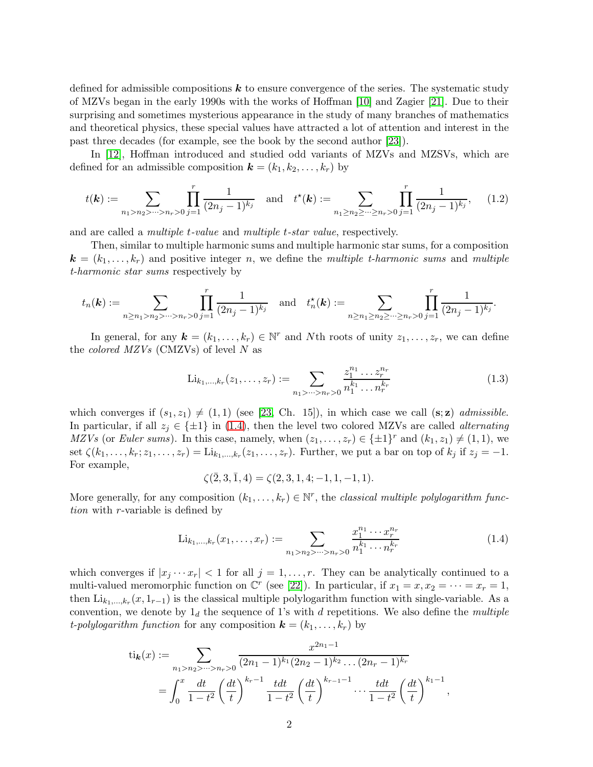defined for admissible compositions  $k$  to ensure convergence of the series. The systematic study of MZVs began in the early 1990s with the works of Hoffman [\[10\]](#page-11-0) and Zagier [\[21\]](#page-12-0). Due to their surprising and sometimes mysterious appearance in the study of many branches of mathematics and theoretical physics, these special values have attracted a lot of attention and interest in the past three decades (for example, see the book by the second author [\[23\]](#page-12-1)).

In [\[12\]](#page-11-1), Hoffman introduced and studied odd variants of MZVs and MZSVs, which are defined for an admissible composition  $\mathbf{k} = (k_1, k_2, \ldots, k_r)$  by

$$
t(\mathbf{k}) := \sum_{n_1 > n_2 > \dots > n_r > 0} \prod_{j=1}^r \frac{1}{(2n_j - 1)^{k_j}} \quad \text{and} \quad t^*(\mathbf{k}) := \sum_{n_1 \ge n_2 \ge \dots \ge n_r > 0} \prod_{j=1}^r \frac{1}{(2n_j - 1)^{k_j}},\tag{1.2}
$$

and are called a *multiple t-value* and *multiple t-star value*, respectively.

Then, similar to multiple harmonic sums and multiple harmonic star sums, for a composition  $\mathbf{k} = (k_1, \ldots, k_r)$  and positive integer n, we define the multiple t-harmonic sums and multiple t-harmonic star sums respectively by

$$
t_n(\mathbf{k}) := \sum_{n \ge n_1 > n_2 > \dots > n_r > 0} \prod_{j=1}^r \frac{1}{(2n_j - 1)^{k_j}} \text{ and } t_n^{\star}(\mathbf{k}) := \sum_{n \ge n_1 \ge n_2 \ge \dots \ge n_r > 0} \prod_{j=1}^r \frac{1}{(2n_j - 1)^{k_j}}.
$$

In general, for any  $\mathbf{k} = (k_1, \ldots, k_r) \in \mathbb{N}^r$  and Nth roots of unity  $z_1, \ldots, z_r$ , we can define the *colored MZVs* (CMZVs) of level N as

$$
\text{Li}_{k_1,\dots,k_r}(z_1,\dots,z_r) := \sum_{n_1>\dots>n_r>0} \frac{z_1^{n_1}\dots z_r^{n_r}}{n_1^{k_1}\dots n_r^{k_r}}
$$
(1.3)

which converges if  $(s_1, z_1) \neq (1, 1)$  (see [\[23,](#page-12-1) Ch. 15]), in which case we call  $(s; z)$  admissible. In particular, if all  $z_i \in \{\pm 1\}$  in [\(1.4\)](#page-1-0), then the level two colored MZVs are called *alternating* MZVs (or Euler sums). In this case, namely, when  $(z_1, \ldots, z_r) \in {\pm 1}^r$  and  $(k_1, z_1) \neq (1, 1)$ , we set  $\zeta(k_1,\ldots,k_r;z_1,\ldots,z_r) = \mathrm{Li}_{k_1,\ldots,k_r}(z_1,\ldots,z_r)$ . Further, we put a bar on top of  $k_j$  if  $z_j = -1$ . For example,

<span id="page-1-0"></span>
$$
\zeta(\overline{2},3,\overline{1},4) = \zeta(2,3,1,4;-1,1,-1,1).
$$

More generally, for any composition  $(k_1, \ldots, k_r) \in \mathbb{N}^r$ , the *classical multiple polylogarithm func*tion with r-variable is defined by

$$
\text{Li}_{k_1,\dots,k_r}(x_1,\dots,x_r) := \sum_{n_1>n_2>\dots>n_r>0} \frac{x_1^{n_1}\cdots x_r^{n_r}}{n_1^{k_1}\cdots n_r^{k_r}}
$$
(1.4)

which converges if  $|x_j \cdots x_r| < 1$  for all  $j = 1, \ldots, r$ . They can be analytically continued to a multi-valued meromorphic function on  $\mathbb{C}^r$  (see [\[22\]](#page-12-2)). In particular, if  $x_1 = x, x_2 = \cdots = x_r = 1$ , then  $Li_{k_1,...,k_r}(x, 1_{r-1})$  is the classical multiple polylogarithm function with single-variable. As a convention, we denote by  $1_d$  the sequence of 1's with d repetitions. We also define the *multiple* t-polylogarithm function for any composition  $\mathbf{k} = (k_1, \ldots, k_r)$  by

$$
\begin{split} \mathsf{ti}_{\mathbf{k}}(x) &:= \sum_{n_1 > n_2 > \dots > n_r > 0} \frac{x^{2n_1 - 1}}{(2n_1 - 1)^{k_1} (2n_2 - 1)^{k_2} \dots (2n_r - 1)^{k_r}} \\ &= \int_0^x \frac{dt}{1 - t^2} \left(\frac{dt}{t}\right)^{k_r - 1} \frac{t dt}{1 - t^2} \left(\frac{dt}{t}\right)^{k_{r-1} - 1} \dots \frac{t dt}{1 - t^2} \left(\frac{dt}{t}\right)^{k_1 - 1}, \end{split}
$$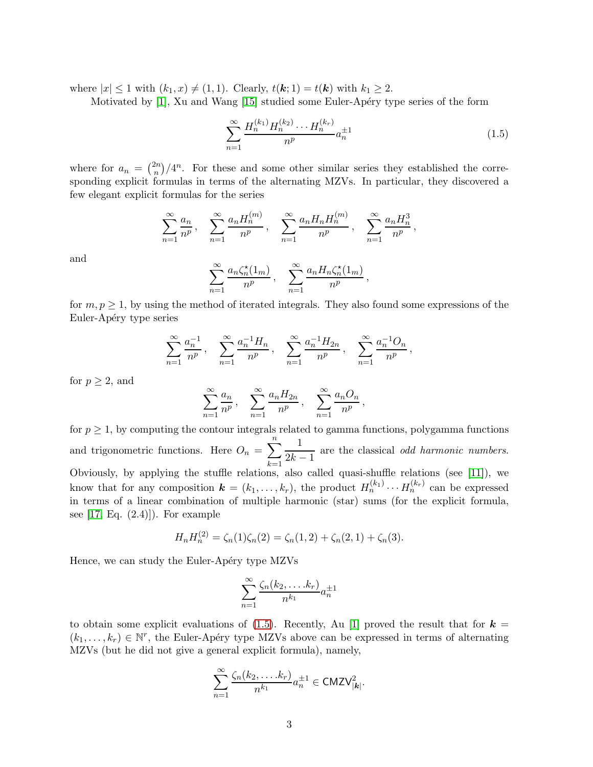where  $|x| \leq 1$  with  $(k_1, x) \neq (1, 1)$ . Clearly,  $t(k; 1) = t(k)$  with  $k_1 \geq 2$ .

Motivated by  $[1]$ , Xu and Wang  $[15]$  studied some Euler-Apéry type series of the form

<span id="page-2-0"></span>
$$
\sum_{n=1}^{\infty} \frac{H_n^{(k_1)} H_n^{(k_2)} \cdots H_n^{(k_r)}}{n^p} a_n^{\pm 1} \tag{1.5}
$$

where for  $a_n = \binom{2n}{n}$  $\binom{2n}{n}/4^n$ . For these and some other similar series they established the corresponding explicit formulas in terms of the alternating MZVs. In particular, they discovered a few elegant explicit formulas for the series

$$
\sum_{n=1}^{\infty} \frac{a_n}{n^p}, \quad \sum_{n=1}^{\infty} \frac{a_n H_n^{(m)}}{n^p}, \quad \sum_{n=1}^{\infty} \frac{a_n H_n H_n^{(m)}}{n^p}, \quad \sum_{n=1}^{\infty} \frac{a_n H_n^3}{n^p},
$$

$$
\sum_{n=1}^{\infty} \frac{a_n \zeta_n^{\star}(1_m)}{n^p}, \quad \sum_{n=1}^{\infty} \frac{a_n H_n \zeta_n^{\star}(1_m)}{n^p},
$$

for  $m, p \geq 1$ , by using the method of iterated integrals. They also found some expressions of the Euler-Apéry type series

$$
\sum_{n=1}^{\infty} \frac{a_n^{-1}}{n^p}, \quad \sum_{n=1}^{\infty} \frac{a_n^{-1} H_n}{n^p}, \quad \sum_{n=1}^{\infty} \frac{a_n^{-1} H_{2n}}{n^p}, \quad \sum_{n=1}^{\infty} \frac{a_n^{-1} O_n}{n^p},
$$

for  $p \geq 2$ , and

and

$$
\sum_{n=1}^{\infty} \frac{a_n}{n^p}, \quad \sum_{n=1}^{\infty} \frac{a_n H_{2n}}{n^p}, \quad \sum_{n=1}^{\infty} \frac{a_n O_n}{n^p},
$$

for  $p \geq 1$ , by computing the contour integrals related to gamma functions, polygamma functions and trigonometric functions. Here  $O_n = \sum_{n=1}^n$  $k=1$ 1  $\frac{1}{2k-1}$  are the classical *odd harmonic numbers*. Obviously, by applying the stuffle relations, also called quasi-shuffle relations (see [\[11\]](#page-11-4)), we know that for any composition  $\mathbf{k} = (k_1, \ldots, k_r)$ , the product  $H_n^{(k_1)} \cdots H_n^{(k_r)}$  can be expressed in terms of a linear combination of multiple harmonic (star) sums (for the explicit formula, see  $[17, Eq. (2.4)]$ . For example

$$
H_n H_n^{(2)} = \zeta_n(1)\zeta_n(2) = \zeta_n(1,2) + \zeta_n(2,1) + \zeta_n(3).
$$

Hence, we can study the Euler-Apéry type MZVs

$$
\sum_{n=1}^{\infty} \frac{\zeta_n(k_2,\ldots,k_r)}{n^{k_1}} a_n^{\pm 1}
$$

to obtain some explicit evaluations of [\(1.5\)](#page-2-0). Recently, Au [\[1\]](#page-11-2) proved the result that for  $k =$  $(k_1, \ldots, k_r) \in \mathbb{N}^r$ , the Euler-Apéry type MZVs above can be expressed in terms of alternating MZVs (but he did not give a general explicit formula), namely,

$$
\sum_{n=1}^{\infty} \frac{\zeta_n(k_2,\ldots,k_r)}{n^{k_1}} a_n^{\pm 1} \in \mathsf{CMZV}_{|\mathbf{k}|}^2.
$$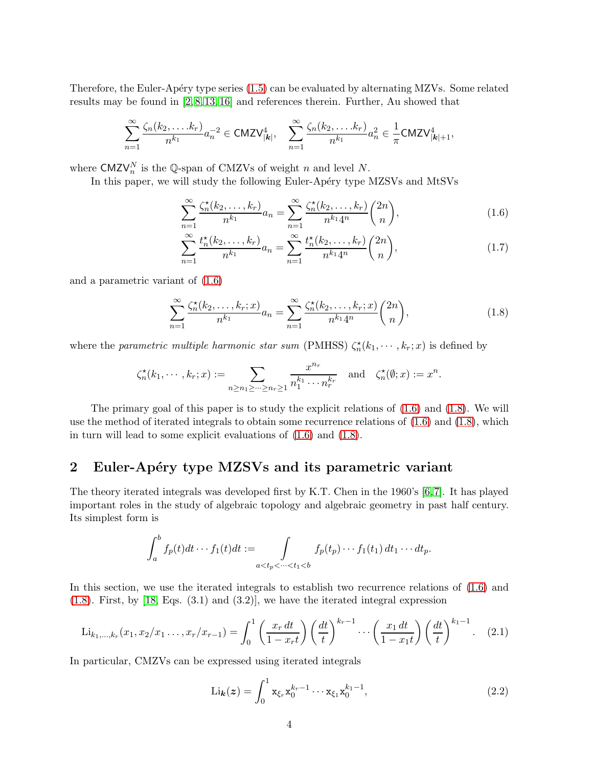Therefore, the Euler-Apéry type series  $(1.5)$  can be evaluated by alternating MZVs. Some related results may be found in [\[2,](#page-11-6) [8,](#page-11-7) [13,](#page-11-8) [16\]](#page-11-9) and references therein. Further, Au showed that

$$
\sum_{n=1}^{\infty} \frac{\zeta_n(k_2,\ldots,k_r)}{n^{k_1}} a_n^{-2} \in \text{CMZV}_{|\mathbf{k}|}^4, \quad \sum_{n=1}^{\infty} \frac{\zeta_n(k_2,\ldots,k_r)}{n^{k_1}} a_n^2 \in \frac{1}{\pi} \text{CMZV}_{|\mathbf{k}|+1}^4,
$$

where  $\text{CMZV}_n^N$  is the Q-span of CMZVs of weight n and level N.

In this paper, we will study the following Euler-Apéry type MZSVs and MtSVs

<span id="page-3-0"></span>
$$
\sum_{n=1}^{\infty} \frac{\zeta_n^{\star}(k_2, \dots, k_r)}{n^{k_1}} a_n = \sum_{n=1}^{\infty} \frac{\zeta_n^{\star}(k_2, \dots, k_r)}{n^{k_1} 4^n} {2n \choose n},
$$
(1.6)

<span id="page-3-1"></span>
$$
\sum_{n=1}^{\infty} \frac{t_n^{\star}(k_2, \dots, k_r)}{n^{k_1}} a_n = \sum_{n=1}^{\infty} \frac{t_n^{\star}(k_2, \dots, k_r)}{n^{k_1} 4^n} {2n \choose n},
$$
\n(1.7)

and a parametric variant of [\(1.6\)](#page-3-0)

$$
\sum_{n=1}^{\infty} \frac{\zeta_n^{\star}(k_2, \dots, k_r; x)}{n^{k_1}} a_n = \sum_{n=1}^{\infty} \frac{\zeta_n^{\star}(k_2, \dots, k_r; x)}{n^{k_1} 4^n} {2n \choose n},
$$
(1.8)

where the *parametric multiple harmonic star sum* (PMHSS)  $\zeta_n^{\star}(k_1, \dots, k_r; x)$  is defined by

$$
\zeta_n^{\star}(k_1,\dots,k_r;x) := \sum_{n\geq n_1\geq \dots\geq n_r\geq 1} \frac{x^{n_r}}{n_1^{k_1}\dots n_r^{k_r}} \text{ and } \zeta_n^{\star}(\emptyset;x) := x^n.
$$

The primary goal of this paper is to study the explicit relations of  $(1.6)$  and  $(1.8)$ . We will use the method of iterated integrals to obtain some recurrence relations of [\(1.6\)](#page-3-0) and [\(1.8\)](#page-3-1), which in turn will lead to some explicit evaluations of [\(1.6\)](#page-3-0) and [\(1.8\)](#page-3-1).

## 2 Euler-Apéry type MZSVs and its parametric variant

The theory iterated integrals was developed first by K.T. Chen in the 1960's [\[6,](#page-11-10)[7\]](#page-11-11). It has played important roles in the study of algebraic topology and algebraic geometry in past half century. Its simplest form is

$$
\int_a^b f_p(t)dt \cdots f_1(t)dt := \int\limits_{a < t_p < \dots < t_1 < b} f_p(t_p) \cdots f_1(t_1) dt_1 \cdots dt_p.
$$

In this section, we use the iterated integrals to establish two recurrence relations of [\(1.6\)](#page-3-0) and  $(1.8)$ . First, by [\[18,](#page-12-3) Eqs.  $(3.1)$  and  $(3.2)$ ], we have the iterated integral expression

$$
\text{Li}_{k_1,\dots,k_r}(x_1,x_2/x_1\dots,x_r/x_{r-1}) = \int_0^1 \left(\frac{x_r dt}{1-x_r t}\right) \left(\frac{dt}{t}\right)^{k_r-1} \dots \left(\frac{x_1 dt}{1-x_1 t}\right) \left(\frac{dt}{t}\right)^{k_1-1}.
$$
 (2.1)

In particular, CMZVs can be expressed using iterated integrals

<span id="page-3-3"></span><span id="page-3-2"></span>
$$
\text{Li}_{\mathbf{k}}(\mathbf{z}) = \int_0^1 \mathbf{x}_{\xi_r} \mathbf{x}_0^{k_r - 1} \cdots \mathbf{x}_{\xi_1} \mathbf{x}_0^{k_1 - 1},\tag{2.2}
$$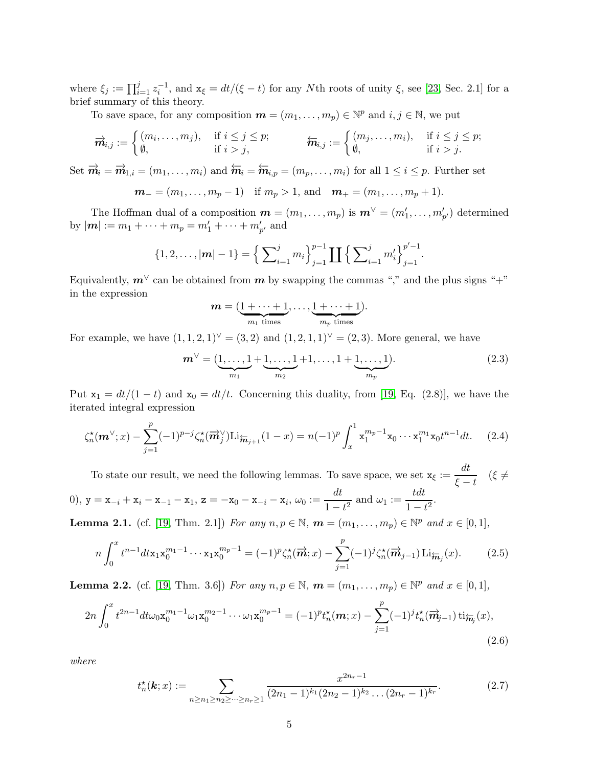where  $\xi_j := \prod_{i=1}^j z_i^{-1}$ , and  $\mathbf{x}_{\xi} = dt/(\xi - t)$  for any Nth roots of unity  $\xi$ , see [\[23,](#page-12-1) Sec. 2.1] for a brief summary of this theory.

To save space, for any composition  $\boldsymbol{m} = (m_1, \ldots, m_p) \in \mathbb{N}^p$  and  $i, j \in \mathbb{N}$ , we put

$$
\overrightarrow{\boldsymbol{m}}_{i,j} := \begin{cases}\n(m_i, \ldots, m_j), & \text{if } i \leq j \leq p; \\
\emptyset, & \text{if } i > j,\n\end{cases} \qquad \overleftarrow{\boldsymbol{m}}_{i,j} := \begin{cases}\n(m_j, \ldots, m_i), & \text{if } i \leq j \leq p; \\
\emptyset, & \text{if } i > j.\n\end{cases}
$$

Set  $\vec{m}_i = \vec{m}_{1,i} = (m_1, \ldots, m_i)$  and  $\overleftarrow{m}_i = \overleftarrow{m}_{i,p} = (m_p, \ldots, m_i)$  for all  $1 \leq i \leq p$ . Further set

$$
m_{-} = (m_1, \ldots, m_p - 1)
$$
 if  $m_p > 1$ , and  $m_{+} = (m_1, \ldots, m_p + 1)$ .

The Hoffman dual of a composition  $\mathbf{m} = (m_1, \ldots, m_p)$  is  $\mathbf{m}^{\vee} = (m'_1, \ldots, m'_{p'})$  determined by  $|\mathbf{m}| := m_1 + \cdots + m_p = m'_1 + \cdots + m'_{p'}$  and

$$
\{1, 2, \ldots, |m| - 1\} = \left\{ \sum_{i=1}^{j} m_i \right\}_{j=1}^{p-1} \coprod \left\{ \sum_{i=1}^{j} m'_i \right\}_{j=1}^{p'-1}.
$$

Equivalently,  $m^{\vee}$  can be obtained from m by swapping the commas "," and the plus signs "+" in the expression

<span id="page-4-3"></span>
$$
\boldsymbol{m} = (\underbrace{1 + \cdots + 1}_{m_1 \text{ times}}, \ldots, \underbrace{1 + \cdots + 1}_{m_p \text{ times}}).
$$

For example, we have  $(1, 1, 2, 1)^{\vee} = (3, 2)$  and  $(1, 2, 1, 1)^{\vee} = (2, 3)$ . More general, we have

<span id="page-4-2"></span><span id="page-4-0"></span>
$$
\boldsymbol{m}^{\vee} = (\underbrace{1, \ldots, 1}_{m_1} + \underbrace{1, \ldots, 1}_{m_2} + 1, \ldots, 1 + \underbrace{1, \ldots, 1}_{m_p}).
$$
\n(2.3)

Put  $x_1 = dt/(1-t)$  and  $x_0 = dt/t$ . Concerning this duality, from [\[19,](#page-12-4) Eq. (2.8)], we have the iterated integral expression

$$
\zeta_n^{\star}(\boldsymbol{m}^{\vee};x) - \sum_{j=1}^p (-1)^{p-j} \zeta_n^{\star}(\overrightarrow{\boldsymbol{m}}_j^{\vee}) \mathrm{Li}_{\overleftarrow{\boldsymbol{m}}_{j+1}}(1-x) = n(-1)^p \int_x^1 x_1^{m_p-1} x_0 \cdots x_1^{m_1} x_0 t^{n-1} dt. \tag{2.4}
$$

To state our result, we need the following lemmas. To save space, we set  $\mathbf{x}_{\xi} := \frac{dt}{\epsilon}$  $\frac{dv}{\xi-t}$  ( $\xi \neq$ 0),  $y = x_{-i} + x_i - x_{-1} - x_1$ ,  $z = -x_0 - x_{-i} - x_i$ ,  $\omega_0 := \frac{dt}{1 - t}$  $\frac{dt}{1-t^2}$  and  $\omega_1 := \frac{tdt}{1-t^2}$  $\frac{c}{1-t^2}$ .

**Lemma 2.1.** (cf. [\[19,](#page-12-4) Thm. 2.1]) For any  $n, p \in \mathbb{N}$ ,  $m = (m_1, ..., m_p) \in \mathbb{N}^p$  and  $x \in [0, 1]$ ,

$$
n\int_0^x t^{n-1} dt \mathbf{x}_1 \mathbf{x}_0^{m_1-1} \cdots \mathbf{x}_1 \mathbf{x}_0^{m_p-1} = (-1)^p \zeta_n^{\star}(\vec{m}; x) - \sum_{j=1}^p (-1)^j \zeta_n^{\star}(\vec{m}_{j-1}) \operatorname{Li}_{\vec{m}_j}(x).
$$
 (2.5)

**Lemma 2.2.** (cf. [\[19,](#page-12-4) Thm. 3.6]) For any  $n, p \in \mathbb{N}$ ,  $m = (m_1, ..., m_p) \in \mathbb{N}^p$  and  $x \in [0, 1]$ ,

$$
2n\int_0^x t^{2n-1} dt \omega_0 \mathbf{x}_0^{m_1-1} \omega_1 \mathbf{x}_0^{m_2-1} \cdots \omega_1 \mathbf{x}_0^{m_p-1} = (-1)^p t_n^{\star}(\boldsymbol{m}; x) - \sum_{j=1}^p (-1)^j t_n^{\star}(\overrightarrow{\boldsymbol{m}}_{j-1}) \operatorname{ti}_{\overleftarrow{\boldsymbol{m}}_j}(x),
$$
\n(2.6)

where

<span id="page-4-1"></span>
$$
t_n^{\star}(\mathbf{k};x) := \sum_{n \ge n_1 \ge n_2 \ge \dots \ge n_r \ge 1} \frac{x^{2n_r - 1}}{(2n_1 - 1)^{k_1} (2n_2 - 1)^{k_2} \dots (2n_r - 1)^{k_r}}.
$$
 (2.7)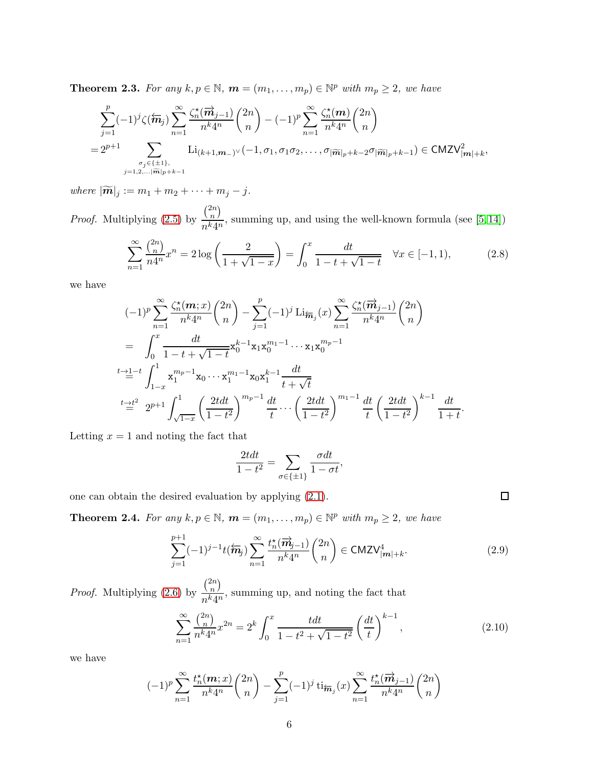<span id="page-5-1"></span>**Theorem 2.3.** For any  $k, p \in \mathbb{N}$ ,  $m = (m_1, \ldots, m_p) \in \mathbb{N}^p$  with  $m_p \geq 2$ , we have

$$
\sum_{j=1}^p (-1)^j \zeta(\overleftarrow{\boldsymbol{m}}_j) \sum_{n=1}^\infty \frac{\zeta_n^\star(\overrightarrow{\boldsymbol{m}}_{j-1})}{n^k 4^n} \binom{2n}{n} - (-1)^p \sum_{n=1}^\infty \frac{\zeta_n^\star(\boldsymbol{m})}{n^k 4^n} \binom{2n}{n}
$$
  
=  $2^{p+1}$  
$$
\sum_{\substack{\sigma_j \in \{\pm 1\},\\j=1,2,\ldots | \overleftarrow{\boldsymbol{m}}|_p + k - 1}} \text{Li}_{(k+1,\boldsymbol{m}_-)^{\vee}}(-1,\sigma_1,\sigma_1\sigma_2,\ldots,\sigma_{|\widetilde{\boldsymbol{m}}|_p + k - 2}\sigma_{|\widetilde{\boldsymbol{m}}|_p + k - 1}) \in \text{CMZV}_{|\boldsymbol{m}| + k}^2
$$

where  $|\widetilde{\mathbf{m}}|_j := m_1 + m_2 + \cdots + m_j - j$ .

Proof. Multiplying [\(2.5\)](#page-4-0) by  $\binom{2n}{2}$  $\binom{2n}{n}$  $\frac{\binom{n}{n}}{n^k 4^n}$ , summing up, and using the well-known formula (see [\[5,](#page-11-12)14])

$$
\sum_{n=1}^{\infty} \frac{\binom{2n}{n}}{n4^n} x^n = 2 \log \left( \frac{2}{1 + \sqrt{1 - x}} \right) = \int_0^x \frac{dt}{1 - t + \sqrt{1 - t}} \quad \forall x \in [-1, 1), \tag{2.8}
$$

we have

$$
(-1)^{p} \sum_{n=1}^{\infty} \frac{\zeta_{n}^{*}(m;x)}{n^{k}4^{n}} {2n \choose n} - \sum_{j=1}^{p} (-1)^{j} \operatorname{Li}_{\overline{m}_{j}}(x) \sum_{n=1}^{\infty} \frac{\zeta_{n}^{*}(\overrightarrow{m}_{j-1})}{n^{k}4^{n}} {2n \choose n}
$$
  
\n
$$
= \int_{0}^{x} \frac{dt}{1-t+\sqrt{1-t}} \mathbf{x}_{0}^{k-1} \mathbf{x}_{1} \mathbf{x}_{0}^{m_{1}-1} \cdots \mathbf{x}_{1} \mathbf{x}_{0}^{m_{p}-1}
$$
  
\n $t \to 1-t$   
\n $t \to 1-t$   
\n $t \to t^{2}$   
\n $2^{p+1} \int_{1-x}^{1} \mathbf{x}_{1}^{m_{p}-1} \mathbf{x}_{0} \cdots \mathbf{x}_{1}^{m_{1}-1} \mathbf{x}_{0} \mathbf{x}_{1}^{k-1} \frac{dt}{t+\sqrt{t}}$   
\n $t \to t^{2}$   
\n $2^{p+1} \int_{\sqrt{1-x}}^{1} \left(\frac{2tdt}{1-t^{2}}\right)^{m_{p}-1} \frac{dt}{t} \cdots \left(\frac{2tdt}{1-t^{2}}\right)^{m_{1}-1} \frac{dt}{t} \left(\frac{2tdt}{1-t^{2}}\right)^{k-1} \frac{dt}{1+t}.$ 

Letting  $x = 1$  and noting the fact that

$$
\frac{2tdt}{1-t^2} = \sum_{\sigma \in \{\pm 1\}} \frac{\sigma dt}{1 - \sigma t},
$$

one can obtain the desired evaluation by applying [\(2.1\)](#page-3-2).

**Theorem 2.4.** For any  $k, p \in \mathbb{N}$ ,  $m = (m_1, \ldots, m_p) \in \mathbb{N}^p$  with  $m_p \geq 2$ , we have

$$
\sum_{j=1}^{p+1}(-1)^{j-1}t(\overleftarrow{\boldsymbol{m}}_{j})\sum_{n=1}^{\infty}\frac{t_{n}^{*}(\overrightarrow{\boldsymbol{m}}_{j-1})}{n^{k}4^{n}}\binom{2n}{n}\in\text{CMZV}_{|\boldsymbol{m}|+k}^{4}.
$$
\n(2.9)

Proof. Multiplying [\(2.6\)](#page-4-1) by  $\binom{2n}{2}$  $\binom{2n}{n}$  $\frac{\sqrt{n}}{n^k 4^n}$ , summing up, and noting the fact that

$$
\sum_{n=1}^{\infty} \frac{\binom{2n}{n}}{n^k 4^n} x^{2n} = 2^k \int_0^x \frac{t dt}{1 - t^2 + \sqrt{1 - t^2}} \left(\frac{dt}{t}\right)^{k-1},\tag{2.10}
$$

we have

$$
(-1)^p\sum_{n=1}^{\infty}\frac{t_n^\star(\boldsymbol{m};x)}{n^k4^n}\binom{2n}{n}-\sum_{j=1}^p(-1)^j\operatorname{ti}_{\overleftarrow{\boldsymbol{m}}_j}(x)\sum_{n=1}^{\infty}\frac{t_n^\star(\overrightarrow{\boldsymbol{m}}_{j-1})}{n^k4^n}\binom{2n}{n}
$$

<span id="page-5-2"></span><span id="page-5-0"></span>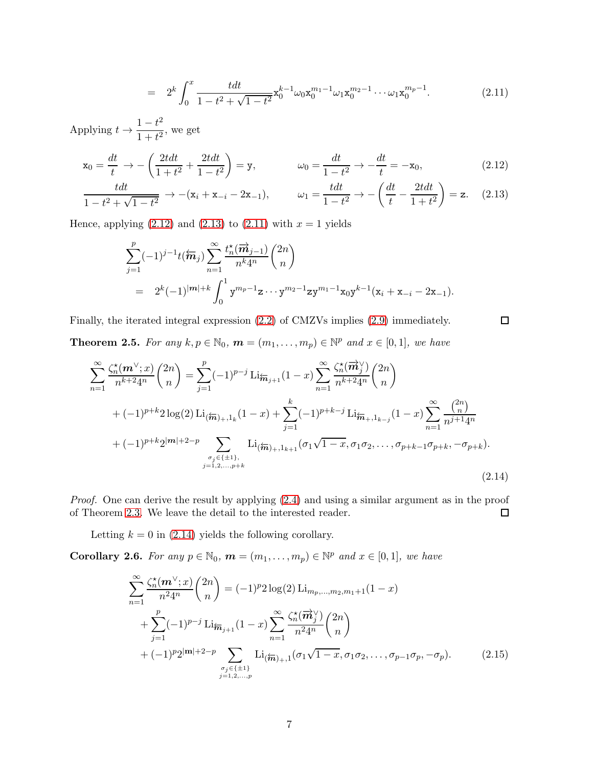$$
= 2k \int_0^x \frac{t dt}{1 - t^2 + \sqrt{1 - t^2}} \mathbf{x}_0^{k-1} \omega_0 \mathbf{x}_0^{m_1-1} \omega_1 \mathbf{x}_0^{m_2-1} \cdots \omega_1 \mathbf{x}_0^{m_p-1}.
$$
 (2.11)

<span id="page-6-3"></span><span id="page-6-2"></span><span id="page-6-1"></span><span id="page-6-0"></span> $\Box$ 

Applying  $t \to \frac{1-t^2}{1+t^2}$  $\frac{1}{1+t^2}$ , we get

$$
\mathbf{x}_0 = \frac{dt}{t} \to -\left(\frac{2tdt}{1+t^2} + \frac{2tdt}{1-t^2}\right) = \mathbf{y}, \qquad \omega_0 = \frac{dt}{1-t^2} \to -\frac{dt}{t} = -\mathbf{x}_0, \tag{2.12}
$$

$$
\frac{tdt}{1-t^2+\sqrt{1-t^2}} \to -(\mathbf{x}_i+\mathbf{x}_{-i}-2\mathbf{x}_{-1}), \qquad \omega_1 = \frac{tdt}{1-t^2} \to -\left(\frac{dt}{t}-\frac{2tdt}{1+t^2}\right) = \mathbf{z}.\tag{2.13}
$$

Hence, applying  $(2.12)$  and  $(2.13)$  to  $(2.11)$  with  $x = 1$  yields

$$
\sum_{j=1}^{p}(-1)^{j-1}t(\overleftarrow{\mathbf{m}}_{j})\sum_{n=1}^{\infty}\frac{t_{n}^{*}(\overrightarrow{\mathbf{m}}_{j-1})}{n^{k}4^{n}}\binom{2n}{n}
$$
\n
$$
= 2^{k}(-1)^{|m|+k}\int_{0}^{1}y^{m_{p}-1}\mathbf{z}\cdots y^{m_{2}-1}\mathbf{z}y^{m_{1}-1}\mathbf{x}_{0}y^{k-1}(\mathbf{x}_{i}+\mathbf{x}_{-i}-2\mathbf{x}_{-1}).
$$

Finally, the iterated integral expression [\(2.2\)](#page-3-3) of CMZVs implies [\(2.9\)](#page-5-0) immediately. **Theorem 2.5.** For any  $k, p \in \mathbb{N}_0$ ,  $m = (m_1, \ldots, m_p) \in \mathbb{N}^p$  and  $x \in [0, 1]$ , we have

$$
\sum_{n=1}^{\infty} \frac{\zeta_n^{\star}(m^{\vee};x)}{n^{k+2}4^n} \binom{2n}{n} = \sum_{j=1}^p (-1)^{p-j} \operatorname{Li}_{\overline{\mathbf{m}}_{j+1}}(1-x) \sum_{n=1}^{\infty} \frac{\zeta_n^{\star}(\overrightarrow{m}_j^{\vee})}{n^{k+2}4^n} \binom{2n}{n} + (-1)^{p+k} 2 \log(2) \operatorname{Li}_{(\overline{\mathbf{m}})_{+,1_k}}(1-x) + \sum_{j=1}^k (-1)^{p+k-j} \operatorname{Li}_{\overline{\mathbf{m}}_{+,1_{k-j}}}(1-x) \sum_{n=1}^{\infty} \frac{\binom{2n}{n}}{n^{j+1}4^n} + (-1)^{p+k} 2^{|m|+2-p} \sum_{\substack{\sigma_j \in \{\pm 1\},\\j=1,2,\ldots,p+k}} \operatorname{Li}_{(\overline{\mathbf{m}})_{+,1_{k+1}}}(\sigma_1 \sqrt{1-x}, \sigma_1 \sigma_2, \ldots, \sigma_{p+k-1} \sigma_{p+k}, -\sigma_{p+k}).
$$
\n(2.14)

Proof. One can derive the result by applying [\(2.4\)](#page-4-2) and using a similar argument as in the proof of Theorem [2.3.](#page-5-1) We leave the detail to the interested reader.  $\Box$ 

Letting  $k = 0$  in [\(2.14\)](#page-6-3) yields the following corollary.

<span id="page-6-4"></span>**Corollary 2.6.** For any  $p \in \mathbb{N}_0$ ,  $m = (m_1, \ldots, m_p) \in \mathbb{N}^p$  and  $x \in [0,1]$ , we have

$$
\sum_{n=1}^{\infty} \frac{\zeta_n^{\star}(\boldsymbol{m}^{\vee};x)}{n^2 4^n} {2n \choose n} = (-1)^p 2 \log(2) \operatorname{Li}_{m_p,\dots,m_2,m_1+1}(1-x) \n+ \sum_{j=1}^p (-1)^{p-j} \operatorname{Li}_{\overline{m}_{j+1}}(1-x) \sum_{n=1}^{\infty} \frac{\zeta_n^{\star}(\overrightarrow{m}_j^{\vee})}{n^2 4^n} {2n \choose n} \n+ (-1)^p 2^{|m|+2-p} \sum_{\substack{\sigma_j \in \{\pm 1\} \\ j=1,2,\dots,p}} \operatorname{Li}_{(\overline{m})_+,1}(\sigma_1 \sqrt{1-x}, \sigma_1 \sigma_2, \dots, \sigma_{p-1} \sigma_p, -\sigma_p).
$$
\n(2.15)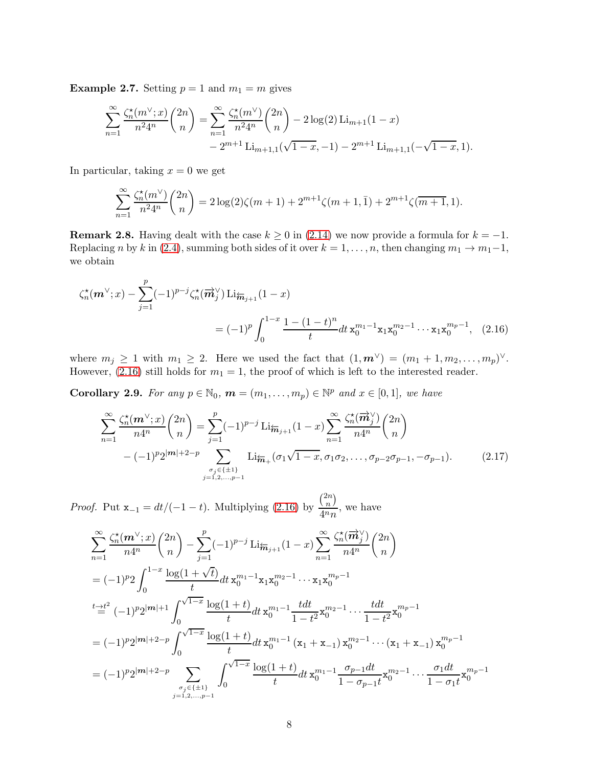**Example 2.7.** Setting  $p = 1$  and  $m_1 = m$  gives

$$
\sum_{n=1}^{\infty} \frac{\zeta_n^{\star}(m^{\vee};x)}{n^2 4^n} {2n \choose n} = \sum_{n=1}^{\infty} \frac{\zeta_n^{\star}(m^{\vee})}{n^2 4^n} {2n \choose n} - 2 \log(2) \operatorname{Li}_{m+1}(1-x) - 2^{m+1} \operatorname{Li}_{m+1,1}(\sqrt{1-x}, -1) - 2^{m+1} \operatorname{Li}_{m+1,1}(-\sqrt{1-x}, 1).
$$

In particular, taking  $x = 0$  we get

<span id="page-7-0"></span>
$$
\sum_{n=1}^{\infty} \frac{\zeta_n^*(m^{\vee})}{n^2 4^n} \binom{2n}{n} = 2 \log(2) \zeta(m+1) + 2^{m+1} \zeta(m+1, \bar{1}) + 2^{m+1} \zeta(\overline{m+1}, 1).
$$

**Remark 2.8.** Having dealt with the case  $k \geq 0$  in [\(2.14\)](#page-6-3) we now provide a formula for  $k = -1$ . Replacing n by k in [\(2.4\)](#page-4-2), summing both sides of it over  $k = 1, ..., n$ , then changing  $m_1 \to m_1-1$ , we obtain

$$
\zeta_n^{\star}(\mathbf{m}^{\vee};x) - \sum_{j=1}^p (-1)^{p-j} \zeta_n^{\star}(\overrightarrow{\mathbf{m}}_j^{\vee}) \operatorname{Li}_{\overleftarrow{\mathbf{m}}_{j+1}}(1-x)
$$
  
=  $(-1)^p \int_0^{1-x} \frac{1 - (1-t)^n}{t} dt \mathbf{x}_0^{m_1-1} \mathbf{x}_1 \mathbf{x}_0^{m_2-1} \cdots \mathbf{x}_1 \mathbf{x}_0^{m_p-1},$  (2.16)

where  $m_j \geq 1$  with  $m_1 \geq 2$ . Here we used the fact that  $(1, \mathbf{m}^{\vee}) = (m_1 + 1, m_2, \ldots, m_p)^{\vee}$ . However, [\(2.16\)](#page-7-0) still holds for  $m_1 = 1$ , the proof of which is left to the interested reader.

<span id="page-7-1"></span>**Corollary 2.9.** For any  $p \in \mathbb{N}_0$ ,  $m = (m_1, \ldots, m_p) \in \mathbb{N}^p$  and  $x \in [0,1]$ , we have

$$
\sum_{n=1}^{\infty} \frac{\zeta_n^{\star}(m^{\vee};x)}{n4^n} \binom{2n}{n} = \sum_{j=1}^p (-1)^{p-j} \operatorname{Li}_{\overline{m}_{j+1}}(1-x) \sum_{n=1}^{\infty} \frac{\zeta_n^{\star}(\overrightarrow{m}_j^{\vee})}{n4^n} \binom{2n}{n} - (-1)^p 2^{|m|+2-p} \sum_{\substack{\sigma_j \in \{\pm 1\} \\ j=1,2,\dots,p-1}} \operatorname{Li}_{\overline{m}_+}(\sigma_1 \sqrt{1-x}, \sigma_1 \sigma_2, \dots, \sigma_{p-2} \sigma_{p-1}, -\sigma_{p-1}). \tag{2.17}
$$

*Proof.* Put  $\mathbf{x}_{-1} = dt/(-1 - t)$ . Multiplying [\(2.16\)](#page-7-0) by  $\binom{2n}{2}$  $\binom{2n}{n}$  $\frac{\sqrt{n}}{4^n n}$ , we have

$$
\sum_{n=1}^{\infty} \frac{\zeta_n^{\star}(m^{\vee};x)}{n4^n} \binom{2n}{n} - \sum_{j=1}^p (-1)^{p-j} \operatorname{Li}_{\widetilde{\mathbf{m}}_{j+1}}(1-x) \sum_{n=1}^{\infty} \frac{\zeta_n^{\star}(\overrightarrow{m}_j^{\vee})}{n4^n} \binom{2n}{n}
$$
\n
$$
= (-1)^{p} 2 \int_0^{1-x} \frac{\log(1+\sqrt{t})}{t} dt \, x_0^{m_1-1} x_1 x_0^{m_2-1} \cdots x_1 x_0^{m_p-1}
$$
\n
$$
\stackrel{t \to t^2}{=} (-1)^{p} 2^{|m|+1} \int_0^{\sqrt{1-x}} \frac{\log(1+t)}{t} dt \, x_0^{m_1-1} \frac{t dt}{1-t^2} x_0^{m_2-1} \cdots \frac{t dt}{1-t^2} x_0^{m_p-1}
$$
\n
$$
= (-1)^{p} 2^{|m|+2-p} \int_0^{\sqrt{1-x}} \frac{\log(1+t)}{t} dt \, x_0^{m_1-1} (x_1 + x_{-1}) x_0^{m_2-1} \cdots (x_1 + x_{-1}) x_0^{m_p-1}
$$
\n
$$
= (-1)^{p} 2^{|m|+2-p} \sum_{\substack{\sigma_j \in \{\pm 1\} \\ j=1,2,\ldots,p-1}} \int_0^{\sqrt{1-x}} \frac{\log(1+t)}{t} dt \, x_0^{m_1-1} \frac{\sigma_{p-1} dt}{1-\sigma_{p-1} t} x_0^{m_2-1} \cdots \frac{\sigma_1 dt}{1-\sigma_1 t} x_0^{m_p-1}
$$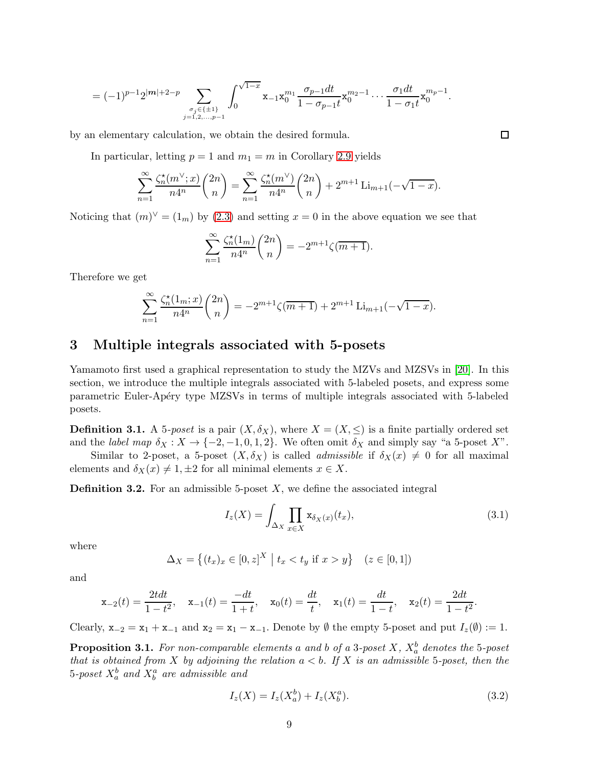$$
=(-1)^{p-1}2^{|{\boldsymbol{m}}|+2-p}\sum_{\stackrel{\sigma_j\in\{\pm1\}}{j=1,2,\ldots,p-1}}\int_0^{\sqrt{1-x}}{\bf x}_{-1}{\bf x}_0^{m_1}\frac{\sigma_{p-1}dt}{1-\sigma_{p-1}t}{\bf x}_0^{m_2-1}\cdots\frac{\sigma_1dt}{1-\sigma_1t}{\bf x}_0^{m_p-1}.
$$

by an elementary calculation, we obtain the desired formula.

In particular, letting  $p = 1$  and  $m_1 = m$  in Corollary [2.9](#page-7-1) yields

$$
\sum_{n=1}^{\infty} \frac{\zeta_n^{\star}(m^{\vee};x)}{n4^n} \binom{2n}{n} = \sum_{n=1}^{\infty} \frac{\zeta_n^{\star}(m^{\vee})}{n4^n} \binom{2n}{n} + 2^{m+1} \operatorname{Li}_{m+1}(-\sqrt{1-x}).
$$

Noticing that  $(m)^{\vee} = (1_m)$  by  $(2.3)$  and setting  $x = 0$  in the above equation we see that

$$
\sum_{n=1}^{\infty} \frac{\zeta_n^{\star}(1_m)}{n4^n} \binom{2n}{n} = -2^{m+1} \zeta(\overline{m+1}).
$$

Therefore we get

$$
\sum_{n=1}^{\infty} \frac{\zeta_n^{\star}(1_m; x)}{n4^n} \binom{2n}{n} = -2^{m+1} \zeta(m+1) + 2^{m+1} \operatorname{Li}_{m+1}(-\sqrt{1-x}).
$$

#### 3 Multiple integrals associated with 5-posets

Yamamoto first used a graphical representation to study the MZVs and MZSVs in [\[20\]](#page-12-5). In this section, we introduce the multiple integrals associated with 5-labeled posets, and express some parametric Euler-Apéry type MZSVs in terms of multiple integrals associated with 5-labeled posets.

**Definition 3.1.** A 5-poset is a pair  $(X, \delta_X)$ , where  $X = (X, \leq)$  is a finite partially ordered set and the *label map*  $\delta_X : X \to \{-2, -1, 0, 1, 2\}$ . We often omit  $\delta_X$  and simply say "a 5-poset X".

Similar to 2-poset, a 5-poset  $(X, \delta_X)$  is called *admissible* if  $\delta_X(x) \neq 0$  for all maximal elements and  $\delta_X(x) \neq 1, \pm 2$  for all minimal elements  $x \in X$ .

**Definition 3.2.** For an admissible 5-poset  $X$ , we define the associated integral

$$
I_z(X) = \int_{\Delta_X} \prod_{x \in X} \mathbf{x}_{\delta_X(x)}(t_x), \tag{3.1}
$$

where

$$
\Delta_X = \{(t_x)_x \in [0, z]^X \mid t_x < t_y \text{ if } x > y\} \quad (z \in [0, 1])
$$

and

$$
\mathbf{x}_{-2}(t) = \frac{2tdt}{1-t^2}, \quad \mathbf{x}_{-1}(t) = \frac{-dt}{1+t}, \quad \mathbf{x}_0(t) = \frac{dt}{t}, \quad \mathbf{x}_1(t) = \frac{dt}{1-t}, \quad \mathbf{x}_2(t) = \frac{2dt}{1-t^2}.
$$

Clearly,  $x_{-2} = x_1 + x_{-1}$  and  $x_2 = x_1 - x_{-1}$ . Denote by  $\emptyset$  the empty 5-poset and put  $I_z(\emptyset) := 1$ .

**Proposition 3.1.** For non-comparable elements a and b of a 3-poset X,  $X_a^b$  denotes the 5-poset that is obtained from X by adjoining the relation  $a < b$ . If X is an admissible 5-poset, then the 5-poset  $X_a^b$  and  $X_b^a$  are admissible and

$$
I_z(X) = I_z(X_a^b) + I_z(X_b^a). \tag{3.2}
$$

 $\Box$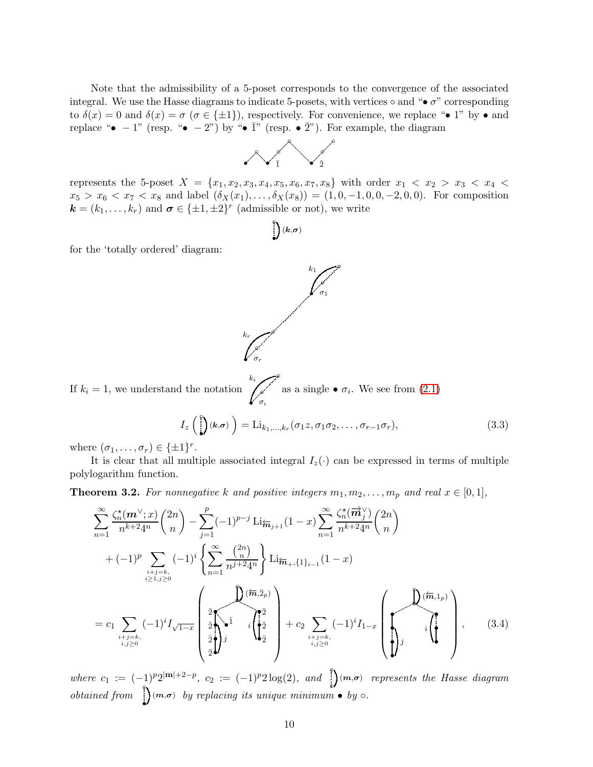Note that the admissibility of a 5-poset corresponds to the convergence of the associated integral. We use the Hasse diagrams to indicate 5-posets, with vertices  $\circ$  and " $\bullet \sigma$ " corresponding to  $\delta(x) = 0$  and  $\delta(x) = \sigma$  ( $\sigma \in {\pm 1}$ ), respectively. For convenience, we replace "• 1" by • and replace "•  $-1$ " (resp. "•  $-2$ ") by "•  $\bar{1}$ " (resp. •  $\bar{2}$ "). For example, the diagram



represents the 5-poset  $X = \{x_1, x_2, x_3, x_4, x_5, x_6, x_7, x_8\}$  with order  $x_1 < x_2 > x_3 < x_4 <$  $x_5 > x_6 < x_7 < x_8$  and label  $(\delta_X(x_1), \ldots, \delta_X(x_8)) = (1, 0, -1, 0, 0, -2, 0, 0)$ . For composition  $\mathbf{k} = (k_1, \dots, k_r)$  and  $\boldsymbol{\sigma} \in \{\pm 1, \pm 2\}^r$  (admissible or not), we write

$$
\bigg)^0 \left( \boldsymbol{k}, \boldsymbol{\sigma} \right)
$$

<span id="page-9-1"></span>⑧• ⑧⑧⑧

 $_{k_1}$ 

 $\sigma_1$ ⑧◦ ⑧⑧⑧

<span id="page-9-0"></span>◦

for the 'totally ordered' diagram:



where  $(\sigma_1, \ldots, \sigma_r) \in {\{\pm 1\}}^r$ .

It is clear that all multiple associated integral  $I_z(\cdot)$  can be expressed in terms of multiple polylogarithm function.

**Theorem 3.2.** For nonnegative k and positive integers  $m_1, m_2, \ldots, m_p$  and real  $x \in [0,1]$ ,

$$
\sum_{n=1}^{\infty} \frac{\zeta_n^{\star}(m^{\vee};x)}{n^{k+2}4^n} {2n \choose n} - \sum_{j=1}^p (-1)^{p-j} \text{Li}_{\overline{n}_{j+1}}(1-x) \sum_{n=1}^{\infty} \frac{\zeta_n^{\star}(\overrightarrow{m}_j^{\vee})}{n^{k+2}4^n} {2n \choose n} + (-1)^p \sum_{\substack{i+j=k, \\ i \ge 1, j \ge 0}} (-1)^i \left\{ \sum_{n=1}^{\infty} \frac{\binom{2n}{n}}{n^{j+2}4^n} \right\} \text{Li}_{\overline{n}_{+1}}(1-x) \n= c_1 \sum_{\substack{i+j=k, \\ i,j \ge 0}} (-1)^i I_{\sqrt{1-x}} \left\{ \sum_{\substack{\overline{2} \\ \overline{2} \\ i,j \ge 0}}^{\overline{2}} \right\}^{\overline{1}} i \left\{ \sum_{\substack{\overline{2} \\ \overline{2} \\ i,j \ge 0}}^{\overline{2}} \right\} + c_2 \sum_{\substack{i+j=k, \\ i,j \ge 0}} (-1)^i I_{1-x} \left( \sum_{\substack{i+j=k, \\ i,j \ge 0}}^{\overline{2} \times \overline{n}_{1}} \right), \quad (3.4)
$$

where  $c_1 := (-1)^p 2^{|m|+2-p}$ ,  $c_2 := (-1)^p 2 \log(2)$ , and  $\bigcirc_{m,\sigma}$  represents the Hasse diagram *obtained from*  $\lim_{\theta \to 0}$  by replacing its unique minimum •  $\bigcap_{i=1}^{\infty} (m, \sigma)$  by replacing its unique minimum • by  $\circ$ .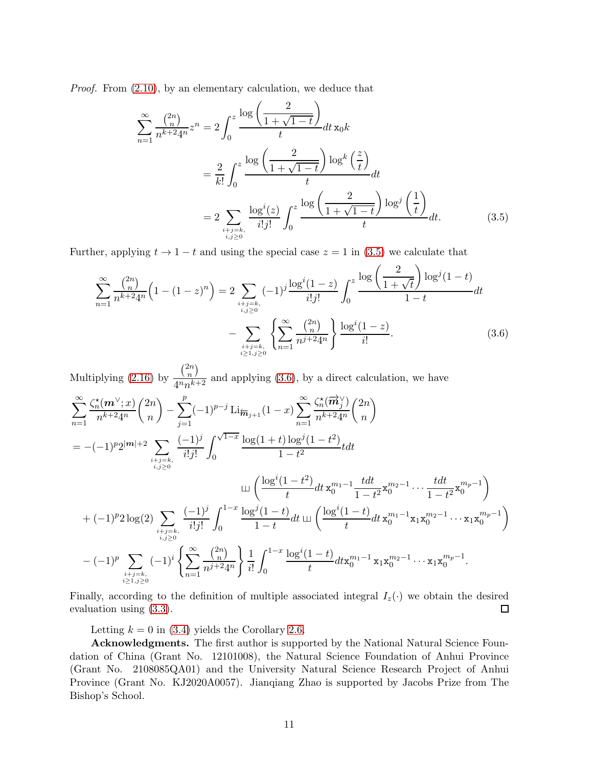Proof. From [\(2.10\)](#page-5-2), by an elementary calculation, we deduce that

<span id="page-10-0"></span>
$$
\sum_{n=1}^{\infty} \frac{\binom{2n}{n}}{n^{k+2}4^n} z^n = 2 \int_0^z \frac{\log\left(\frac{2}{1+\sqrt{1-t}}\right)}{t} dt \, \mathbf{x}_0 k
$$
\n
$$
= \frac{2}{k!} \int_0^z \frac{\log\left(\frac{2}{1+\sqrt{1-t}}\right) \log^k\left(\frac{z}{t}\right)}{t} dt
$$
\n
$$
= 2 \sum_{\substack{i+j=k,\\i,j\geq 0}} \frac{\log^i(z)}{i!j!} \int_0^z \frac{\log\left(\frac{2}{1+\sqrt{1-t}}\right) \log^j\left(\frac{1}{t}\right)}{t} dt. \tag{3.5}
$$

Further, applying  $t \to 1-t$  and using the special case  $z = 1$  in [\(3.5\)](#page-10-0) we calculate that

<span id="page-10-1"></span>
$$
\sum_{n=1}^{\infty} \frac{\binom{2n}{n}}{n^{k+2} 4^n} \left( 1 - (1-z)^n \right) = 2 \sum_{\substack{i+j=k, \\ i,j \ge 0}} (-1)^j \frac{\log^i (1-z)}{i! j!} \int_0^z \frac{\log \left( \frac{2}{1+\sqrt{t}} \right) \log^j (1-t)}{1-t} dt
$$

$$
- \sum_{\substack{i+j=k, \\ i \ge 1, j \ge 0}} \left\{ \sum_{n=1}^{\infty} \frac{\binom{2n}{n}}{n^{j+2} 4^n} \right\} \frac{\log^i (1-z)}{i!}.
$$
(3.6)

Multiplying [\(2.16\)](#page-7-0) by  $\binom{2n}{2}$  $\binom{2n}{n}$  $\frac{\binom{n}{1}}{4^n n^{k+2}}$  and applying [\(3.6\)](#page-10-1), by a direct calculation, we have

$$
\sum_{n=1}^{\infty} \frac{\zeta_n^{\star}(\boldsymbol{m}^{\vee};x)}{n^{k+2}4^n} \binom{2n}{n} - \sum_{j=1}^p (-1)^{p-j} \text{Li}_{\overline{\mathbf{m}}_{j+1}}(1-x) \sum_{n=1}^{\infty} \frac{\zeta_n^{\star}(\overrightarrow{\boldsymbol{m}}_j^{\vee})}{n^{k+2}4^n} \binom{2n}{n}
$$
\n
$$
= -(-1)^{p} 2^{|m|+2} \sum_{\substack{i+j=k,\\i,j\geq 0}} \frac{(-1)^j}{i!j!} \int_0^{\sqrt{1-x}} \frac{\log(1+t) \log^j(1-t^2)}{1-t^2} t dt
$$
\n
$$
\text{Li}_{\overline{\mathbf{m}}_{j+1}}\left(\frac{\log^j(1-t^2)}{t} \right) dt \mathbf{x}_0^{m_1-1} \frac{t dt}{1-t^2} \mathbf{x}_0^{m_2-1} \cdots \frac{t dt}{1-t^2} \mathbf{x}_0^{m_p-1}\right)
$$
\n
$$
+ (-1)^{p} 2 \log(2) \sum_{\substack{i+j=k,\\i,j\geq 0}} \frac{(-1)^j}{i!j!} \int_0^{1-x} \frac{\log^j(1-t)}{1-t} dt \text{ in } \left(\frac{\log^i(1-t)}{t} \frac{dt}{t} \mathbf{x}_0^{m_1-1} \mathbf{x}_1 \mathbf{x}_0^{m_2-1} \cdots \mathbf{x}_1 \mathbf{x}_0^{m_p-1}\right)
$$
\n
$$
-(-1)^p \sum_{\substack{i+j=k,\\i\geq 1, j\geq 0}} (-1)^i \left\{ \sum_{n=1}^{\infty} \frac{\binom{2n}{n}}{n^{j+2} 4^n} \right\} \frac{1}{i!} \int_0^{1-x} \frac{\log^i(1-t)}{t} dt \mathbf{x}_0^{m_1-1} \mathbf{x}_1 \mathbf{x}_0^{m_2-1} \cdots \mathbf{x}_1 \mathbf{x}_0^{m_p-1}.
$$

Finally, according to the definition of multiple associated integral  $I_z(\cdot)$  we obtain the desired evaluation using (3.3). evaluation using [\(3.3\)](#page-9-0).

Letting  $k = 0$  in [\(3.4\)](#page-9-1) yields the Corollary [2.6.](#page-6-4)

Acknowledgments. The first author is supported by the National Natural Science Foundation of China (Grant No. 12101008), the Natural Science Foundation of Anhui Province (Grant No. 2108085QA01) and the University Natural Science Research Project of Anhui Province (Grant No. KJ2020A0057). Jianqiang Zhao is supported by Jacobs Prize from The Bishop's School.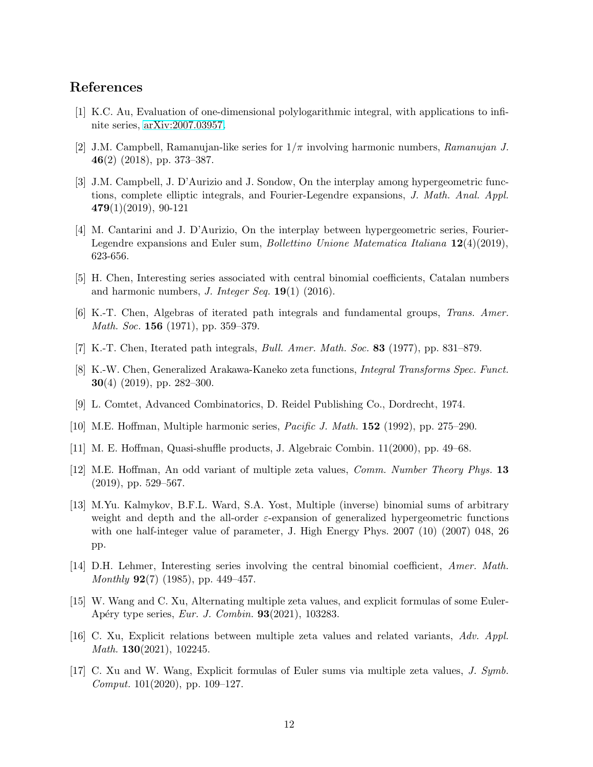### <span id="page-11-2"></span>References

- <span id="page-11-6"></span>[1] K.C. Au, Evaluation of one-dimensional polylogarithmic integral, with applications to infinite series, [arXiv:2007.03957.](http://arxiv.org/abs/2007.03957)
- [2] J.M. Campbell, Ramanujan-like series for  $1/\pi$  involving harmonic numbers, Ramanujan J. 46(2) (2018), pp. 373–387.
- [3] J.M. Campbell, J. D'Aurizio and J. Sondow, On the interplay among hypergeometric functions, complete elliptic integrals, and Fourier-Legendre expansions, J. Math. Anal. Appl. 479(1)(2019), 90-121
- [4] M. Cantarini and J. D'Aurizio, On the interplay between hypergeometric series, Fourier-Legendre expansions and Euler sum, Bollettino Unione Matematica Italiana 12(4)(2019), 623-656.
- <span id="page-11-12"></span><span id="page-11-10"></span>[5] H. Chen, Interesting series associated with central binomial coefficients, Catalan numbers and harmonic numbers, *J. Integer Seq.* **19**(1) (2016).
- <span id="page-11-11"></span>[6] K.-T. Chen, Algebras of iterated path integrals and fundamental groups, Trans. Amer. Math. Soc. **156** (1971), pp. 359–379.
- <span id="page-11-7"></span>[7] K.-T. Chen, Iterated path integrals, Bull. Amer. Math. Soc. 83 (1977), pp. 831–879.
- [8] K.-W. Chen, Generalized Arakawa-Kaneko zeta functions, Integral Transforms Spec. Funct. **30**(4) (2019), pp. 282–300.
- <span id="page-11-0"></span>[9] L. Comtet, Advanced Combinatorics, D. Reidel Publishing Co., Dordrecht, 1974.
- <span id="page-11-4"></span>[10] M.E. Hoffman, Multiple harmonic series, Pacific J. Math. 152 (1992), pp. 275–290.
- <span id="page-11-1"></span>[11] M. E. Hoffman, Quasi-shuffle products, J. Algebraic Combin. 11(2000), pp. 49–68.
- [12] M.E. Hoffman, An odd variant of multiple zeta values, Comm. Number Theory Phys. 13 (2019), pp. 529–567.
- <span id="page-11-8"></span>[13] M.Yu. Kalmykov, B.F.L. Ward, S.A. Yost, Multiple (inverse) binomial sums of arbitrary weight and depth and the all-order  $\varepsilon$ -expansion of generalized hypergeometric functions with one half-integer value of parameter, J. High Energy Phys. 2007 (10) (2007) 048, 26 pp.
- <span id="page-11-13"></span>[14] D.H. Lehmer, Interesting series involving the central binomial coefficient, Amer. Math. Monthly  $92(7)$  (1985), pp. 449–457.
- <span id="page-11-3"></span>[15] W. Wang and C. Xu, Alternating multiple zeta values, and explicit formulas of some Euler-Apéry type series, Eur. J. Combin. **93**(2021), 103283.
- <span id="page-11-9"></span>[16] C. Xu, Explicit relations between multiple zeta values and related variants, Adv. Appl. Math. **130**(2021), 102245.
- <span id="page-11-5"></span>[17] C. Xu and W. Wang, Explicit formulas of Euler sums via multiple zeta values, J. Symb. Comput. 101(2020), pp. 109–127.